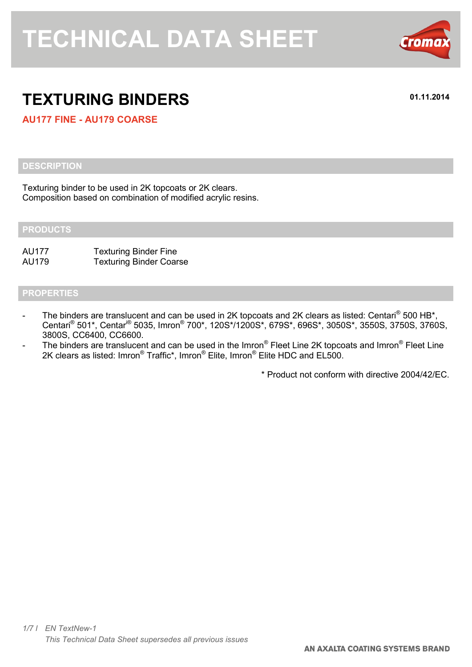

# **TEXTURING BINDERS 01.11.2014**

**AU177 FINE - AU179 COARSE**

### **DESCRIPTION**

Texturing binder to be used in 2K topcoats or 2K clears. Composition based on combination of modified acrylic resins.

#### **PRODUCTS**

AU177 Texturing Binder Fine AU179 Texturing Binder Coarse

### **PROPERTIES**

- The binders are translucent and can be used in 2K topcoats and 2K clears as listed: Centari® 500 HB\*, Centari<sup>®</sup> 501\*, Centar<sup>i®</sup> 5035, Imron<sup>®</sup> 700\*, 120S\*/1200S\*, 679S\*, 696S\*, 3050S\*, 3550S, 3750S, 3760S, 3800S, CC6400, CC6600.
- The binders are translucent and can be used in the Imron® Fleet Line 2K topcoats and Imron® Fleet Line 2K clears as listed: Imron<sup>®</sup> Traffic\*, Imron<sup>®</sup> Elite, Imron<sup>®</sup> Elite HDC and EL500.

\* Product not conform with directive 2004/42/EC.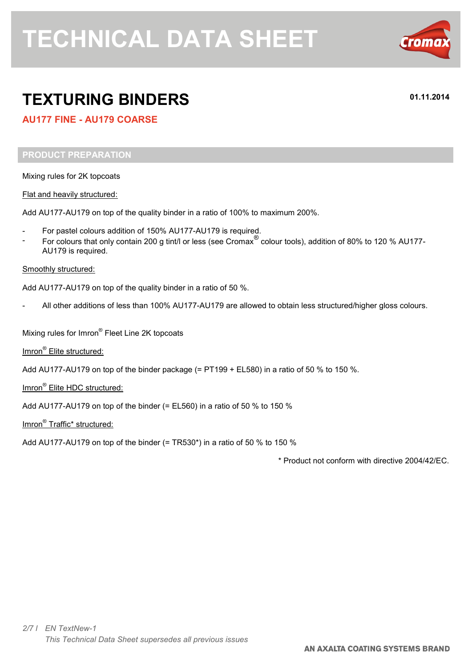

# **TEXTURING BINDERS 01.11.2014**

## **AU177 FINE - AU179 COARSE**

#### **PRODUCT PREPARATION**

Mixing rules for 2K topcoats

Flat and heavily structured:

Add AU177-AU179 on top of the quality binder in a ratio of 100% to maximum 200%.

- For pastel colours addition of 150% AU177-AU179 is required.
- For colours that only contain 200 g tint/l or less (see Cromax<sup>®</sup> colour tools), addition of 80% to 120 % AU177-AU179 is required.

#### Smoothly structured:

Add AU177-AU179 on top of the quality binder in a ratio of 50 %.

All other additions of less than 100% AU177-AU179 are allowed to obtain less structured/higher gloss colours.

Mixing rules for Imron® Fleet Line 2K topcoats

Imron<sup>®</sup> Elite structured:

Add AU177-AU179 on top of the binder package (= PT199 + EL580) in a ratio of 50 % to 150 %.

Imron<sup>®</sup> Elite HDC structured:

Add AU177-AU179 on top of the binder (= EL560) in a ratio of 50  $%$  to 150  $%$ 

Imron<sup>®</sup> Traffic\* structured:

Add AU177-AU179 on top of the binder (= TR530\*) in a ratio of 50 % to 150 %

\* Product not conform with directive 2004/42/EC.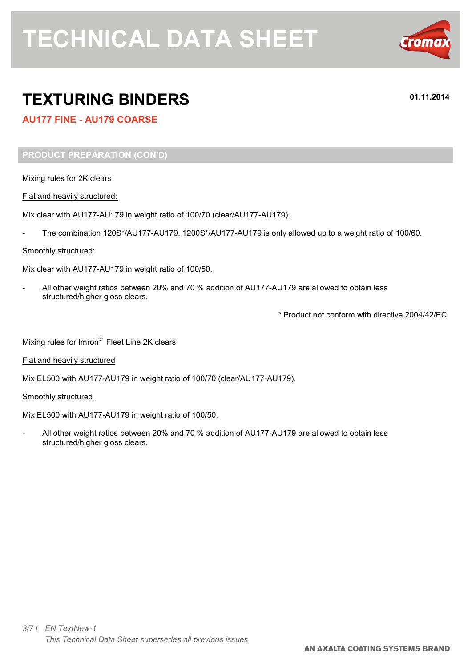

# **TEXTURING BINDERS 01.11.2014**

## **AU177 FINE - AU179 COARSE**

### **PRODUCT PREPARATION (CON'D)**

Mixing rules for 2K clears

Flat and heavily structured:

Mix clear with AU177-AU179 in weight ratio of 100/70 (clear/AU177-AU179).

The combination 120S\*/AU177-AU179, 1200S\*/AU177-AU179 is only allowed up to a weight ratio of 100/60.

#### Smoothly structured:

Mix clear with AU177-AU179 in weight ratio of 100/50.

- All other weight ratios between 20% and 70 % addition of AU177-AU179 are allowed to obtain less structured/higher gloss clears.

\* Product not conform with directive 2004/42/EC.

Mixing rules for Imron® Fleet Line 2K clears

Flat and heavily structured

Mix EL500 with AU177-AU179 in weight ratio of 100/70 (clear/AU177-AU179).

#### Smoothly structured

Mix EL500 with AU177-AU179 in weight ratio of 100/50.

- All other weight ratios between 20% and 70 % addition of AU177-AU179 are allowed to obtain less structured/higher gloss clears.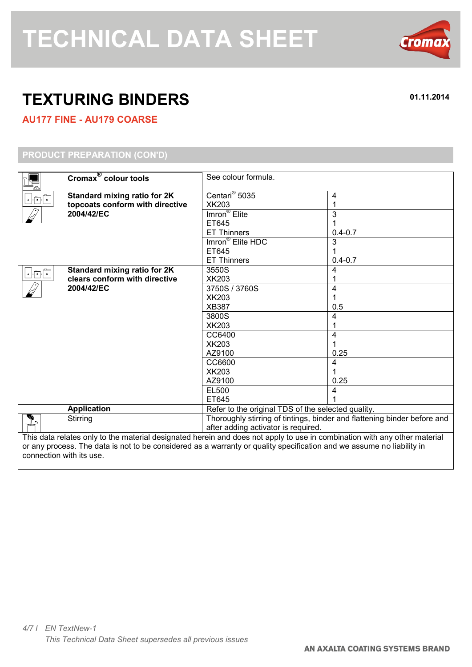

# **TEXTURING BINDERS 01.11.2014**

# **AU177 FINE - AU179 COARSE**

## **PRODUCT PREPARATION (CON'D)**

|                                                                                                                                                                                                                                                                                                                                                                                                                                                                       | Cromax <sup>®</sup> colour tools              | See colour formula.                                                      |             |  |
|-----------------------------------------------------------------------------------------------------------------------------------------------------------------------------------------------------------------------------------------------------------------------------------------------------------------------------------------------------------------------------------------------------------------------------------------------------------------------|-----------------------------------------------|--------------------------------------------------------------------------|-------------|--|
|                                                                                                                                                                                                                                                                                                                                                                                                                                                                       | <b>Standard mixing ratio for 2K</b>           | Centari <sup>®</sup> 5035                                                | 4           |  |
| $\begin{array}{c c c c c} \hline \multicolumn{3}{c }{\mathbf{A}} & \multicolumn{3}{c}{\mathbf{B}} & \multicolumn{3}{c}{\mathbf{C}} \\ \hline \multicolumn{3}{c }{\mathbf{A}} & \multicolumn{3}{c}{\mathbf{B}} & \multicolumn{3}{c}{\mathbf{C}} \\ \hline \multicolumn{3}{c}{\mathbf{A}} & \multicolumn{3}{c}{\mathbf{B}} & \multicolumn{3}{c}{\mathbf{C}} \\ \hline \multicolumn{3}{c}{\mathbf{A}} & \multicolumn{3}{c}{\mathbf{C}} & \multicolumn{3}{c}{\mathbf{D}}$ | topcoats conform with directive<br>2004/42/EC | XK203                                                                    |             |  |
|                                                                                                                                                                                                                                                                                                                                                                                                                                                                       |                                               | Imron <sup>®</sup> Elite                                                 | 3           |  |
|                                                                                                                                                                                                                                                                                                                                                                                                                                                                       |                                               | ET645                                                                    |             |  |
|                                                                                                                                                                                                                                                                                                                                                                                                                                                                       |                                               | <b>ET Thinners</b>                                                       | $0.4 - 0.7$ |  |
|                                                                                                                                                                                                                                                                                                                                                                                                                                                                       |                                               | Imron <sup>®</sup> Elite HDC                                             | 3           |  |
|                                                                                                                                                                                                                                                                                                                                                                                                                                                                       |                                               | ET645                                                                    |             |  |
|                                                                                                                                                                                                                                                                                                                                                                                                                                                                       |                                               | <b>ET Thinners</b>                                                       | $0.4 - 0.7$ |  |
| $A + B + c$                                                                                                                                                                                                                                                                                                                                                                                                                                                           | Standard mixing ratio for 2K                  | 3550S                                                                    | 4           |  |
|                                                                                                                                                                                                                                                                                                                                                                                                                                                                       | clears conform with directive                 | XK203                                                                    |             |  |
|                                                                                                                                                                                                                                                                                                                                                                                                                                                                       | 2004/42/EC                                    | 3750S / 3760S                                                            | 4           |  |
|                                                                                                                                                                                                                                                                                                                                                                                                                                                                       |                                               | <b>XK203</b>                                                             |             |  |
|                                                                                                                                                                                                                                                                                                                                                                                                                                                                       |                                               | <b>XB387</b>                                                             | 0.5         |  |
|                                                                                                                                                                                                                                                                                                                                                                                                                                                                       |                                               | 3800S                                                                    | 4           |  |
|                                                                                                                                                                                                                                                                                                                                                                                                                                                                       |                                               | <b>XK203</b>                                                             |             |  |
|                                                                                                                                                                                                                                                                                                                                                                                                                                                                       |                                               | CC6400                                                                   | 4           |  |
|                                                                                                                                                                                                                                                                                                                                                                                                                                                                       |                                               | <b>XK203</b>                                                             |             |  |
|                                                                                                                                                                                                                                                                                                                                                                                                                                                                       |                                               | AZ9100                                                                   | 0.25        |  |
|                                                                                                                                                                                                                                                                                                                                                                                                                                                                       |                                               | CC6600                                                                   | 4           |  |
|                                                                                                                                                                                                                                                                                                                                                                                                                                                                       |                                               | <b>XK203</b>                                                             |             |  |
|                                                                                                                                                                                                                                                                                                                                                                                                                                                                       |                                               | AZ9100                                                                   | 0.25        |  |
|                                                                                                                                                                                                                                                                                                                                                                                                                                                                       |                                               | EL500                                                                    |             |  |
|                                                                                                                                                                                                                                                                                                                                                                                                                                                                       |                                               | ET645                                                                    |             |  |
|                                                                                                                                                                                                                                                                                                                                                                                                                                                                       | <b>Application</b>                            | Refer to the original TDS of the selected quality.                       |             |  |
| ╩                                                                                                                                                                                                                                                                                                                                                                                                                                                                     | Stirring                                      | Thoroughly stirring of tintings, binder and flattening binder before and |             |  |
|                                                                                                                                                                                                                                                                                                                                                                                                                                                                       |                                               | after adding activator is required.                                      |             |  |
| This data relates only to the material designated herein and does not apply to use in combination with any other material                                                                                                                                                                                                                                                                                                                                             |                                               |                                                                          |             |  |
| or any process. The data is not to be considered as a warranty or quality specification and we assume no liability in                                                                                                                                                                                                                                                                                                                                                 |                                               |                                                                          |             |  |

or any process. The data is not to be considered as a warranty or quality specification and we assume no liability in connection with its use.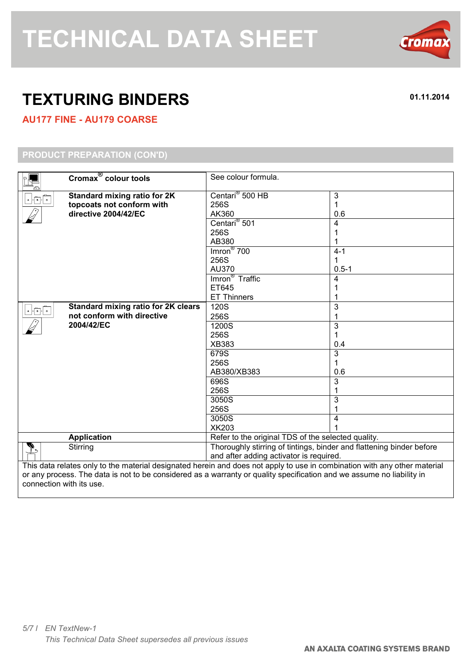

# **TEXTURING BINDERS 01.11.2014**

## **AU177 FINE - AU179 COARSE**

## **PRODUCT PREPARATION (CON'D)**

|                                                                                                                           | Cromax <sup>®</sup> colour tools           | See colour formula.                                                  |           |  |
|---------------------------------------------------------------------------------------------------------------------------|--------------------------------------------|----------------------------------------------------------------------|-----------|--|
| $+$ $\begin{array}{ c c c }\n\hline\n\end{array}$ $+$ $\begin{array}{ c c c }\n\hline\n\end{array}$                       | <b>Standard mixing ratio for 2K</b>        | Centari <sup>®</sup> 500 HB                                          | 3         |  |
|                                                                                                                           | topcoats not conform with                  | 256S                                                                 | 1         |  |
|                                                                                                                           | directive 2004/42/EC                       | AK360                                                                | 0.6       |  |
|                                                                                                                           |                                            | Centari <sup>®</sup> 501                                             | 4         |  |
|                                                                                                                           |                                            | 256S                                                                 |           |  |
|                                                                                                                           |                                            | AB380                                                                |           |  |
|                                                                                                                           |                                            | $Imron^{\circledR}$ 700                                              | $4 - 1$   |  |
|                                                                                                                           |                                            | 256S                                                                 | 1         |  |
|                                                                                                                           |                                            | AU370                                                                | $0.5 - 1$ |  |
|                                                                                                                           |                                            | Imron <sup>®</sup> Traffic                                           | 4         |  |
|                                                                                                                           |                                            | ET645                                                                |           |  |
|                                                                                                                           |                                            | <b>ET Thinners</b>                                                   |           |  |
| $\begin{array}{ c c c }\hline \textbf{A} & \textbf{B} & \textbf{C} \\ \hline \end{array}$                                 | <b>Standard mixing ratio for 2K clears</b> | 120S                                                                 | 3         |  |
|                                                                                                                           | not conform with directive                 | 256S                                                                 | 1         |  |
|                                                                                                                           | 2004/42/EC                                 | 1200S                                                                | 3         |  |
|                                                                                                                           |                                            | 256S                                                                 | 1         |  |
|                                                                                                                           |                                            | XB383                                                                | 0.4       |  |
|                                                                                                                           |                                            | 679S                                                                 | 3         |  |
|                                                                                                                           |                                            | 256S                                                                 | 1         |  |
|                                                                                                                           |                                            | AB380/XB383                                                          | 0.6       |  |
|                                                                                                                           |                                            | 696S                                                                 | 3         |  |
|                                                                                                                           |                                            | 256S                                                                 |           |  |
|                                                                                                                           |                                            | 3050S                                                                | 3         |  |
|                                                                                                                           |                                            | 256S                                                                 |           |  |
|                                                                                                                           |                                            | 3050S                                                                | 4         |  |
|                                                                                                                           |                                            | <b>XK203</b>                                                         |           |  |
|                                                                                                                           | <b>Application</b>                         | Refer to the original TDS of the selected quality.                   |           |  |
|                                                                                                                           | Stirring                                   | Thoroughly stirring of tintings, binder and flattening binder before |           |  |
|                                                                                                                           |                                            | and after adding activator is required.                              |           |  |
| This data relates only to the material designated herein and does not apply to use in combination with any other material |                                            |                                                                      |           |  |
| or any process. The data is not to be considered as a warranty or quality specification and we assume no liability in     |                                            |                                                                      |           |  |
| connection with its use.                                                                                                  |                                            |                                                                      |           |  |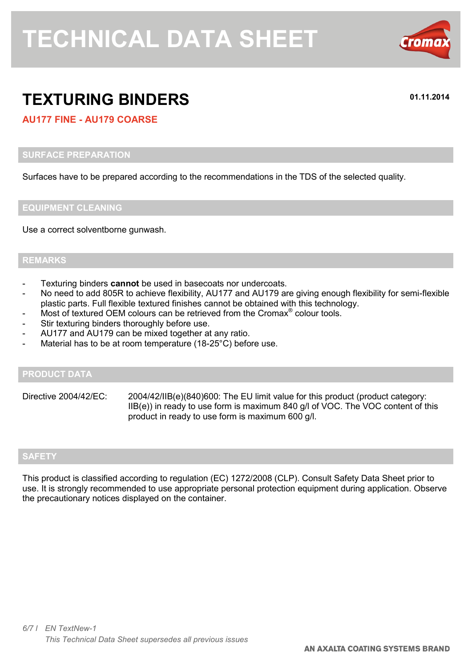

# **TEXTURING BINDERS 01.11.2014**

## **AU177 FINE - AU179 COARSE**

#### **SURFACE PREPARATION**

Surfaces have to be prepared according to the recommendations in the TDS of the selected quality.

#### **EQUIPMENT CLEANING**

Use a correct solventborne gunwash.

#### **REMARKS**

- Texturing binders **cannot** be used in basecoats nor undercoats.
- No need to add 805R to achieve flexibility, AU177 and AU179 are giving enough flexibility for semi-flexible plastic parts. Full flexible textured finishes cannot be obtained with this technology.
- Most of textured OEM colours can be retrieved from the Cromax<sup>®</sup> colour tools.
- Stir texturing binders thoroughly before use.
- AU177 and AU179 can be mixed together at any ratio.
- Material has to be at room temperature (18-25°C) before use.

#### **PRODUCT DATA**

Directive 2004/42/EC: 2004/42/IIB(e)(840)600: The EU limit value for this product (product category: IIB(e)) in ready to use form is maximum 840 g/l of VOC. The VOC content of this product in ready to use form is maximum 600 g/l.

### **SAFETY**

This product is classified according to regulation (EC) 1272/2008 (CLP). Consult Safety Data Sheet prior to use. It is strongly recommended to use appropriate personal protection equipment during application. Observe the precautionary notices displayed on the container.